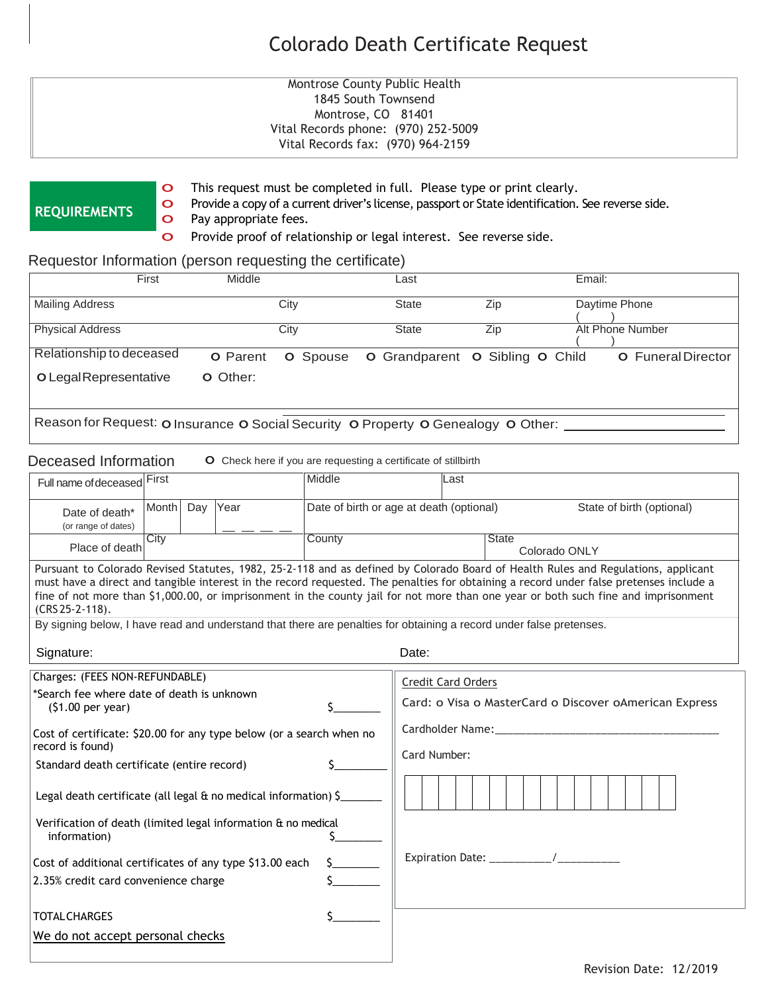# Colorado Death Certificate Request

### **Montrose County Public Health** 1845 South Townsend Montrose, CO 81401 Vital Records phone: (970) 252-5009 Vital Records fax: (970) 964-2159

## **REQUIREMENTS**

o This request must be completed in full. Please type or print clearly.

o Provide <sup>a</sup> copy of <sup>a</sup> current driver's license, passport or State identification. See reverse side. o Pay appropriate fees.

o Provide proof of relationship or legal interest. See reverse side.

## Requestor Information (person requesting the certificate)

| First                                                                             | Middle          |                 | Last                                                 |     | Email:           |                           |
|-----------------------------------------------------------------------------------|-----------------|-----------------|------------------------------------------------------|-----|------------------|---------------------------|
| <b>Mailing Address</b>                                                            |                 | City            |                                                      | Zip | Daytime Phone    |                           |
| <b>Physical Address</b>                                                           |                 | City            | <b>State</b>                                         | Zip | Alt Phone Number |                           |
| Relationship to deceased                                                          | <b>O</b> Parent | <b>O</b> Spouse | <b>O</b> Grandparent <b>O</b> Sibling <b>O</b> Child |     |                  | <b>O</b> Funeral Director |
| O Legal Representative                                                            | O Other:        |                 |                                                      |     |                  |                           |
| Reason for Request: o Insurance o Social Security o Property o Genealogy o Other: |                 |                 |                                                      |     |                  |                           |

#### Deceased Information **O** Check here if you are requesting a certificate of stillbirth

| Full name of deceased First                                                                                                                                                                                                                                                                                                                                                                                                                                                                                                                                        |                | Middle<br>Last |        |                                                                                                                                                            |       |                               |  |  |  |
|--------------------------------------------------------------------------------------------------------------------------------------------------------------------------------------------------------------------------------------------------------------------------------------------------------------------------------------------------------------------------------------------------------------------------------------------------------------------------------------------------------------------------------------------------------------------|----------------|----------------|--------|------------------------------------------------------------------------------------------------------------------------------------------------------------|-------|-------------------------------|--|--|--|
| Date of death*<br>(or range of dates)                                                                                                                                                                                                                                                                                                                                                                                                                                                                                                                              | Month Day Year |                |        | Date of birth or age at death (optional)<br>State of birth (optional)                                                                                      |       |                               |  |  |  |
| City<br>Place of death                                                                                                                                                                                                                                                                                                                                                                                                                                                                                                                                             |                |                | County |                                                                                                                                                            |       | <b>State</b><br>Colorado ONLY |  |  |  |
| Pursuant to Colorado Revised Statutes, 1982, 25-2-118 and as defined by Colorado Board of Health Rules and Regulations, applicant<br>must have a direct and tangible interest in the record requested. The penalties for obtaining a record under false pretenses include a<br>fine of not more than \$1,000.00, or imprisonment in the county jail for not more than one year or both such fine and imprisonment<br>$(CRS 25 - 2 - 118)$ .<br>By signing below, I have read and understand that there are penalties for obtaining a record under false pretenses. |                |                |        |                                                                                                                                                            |       |                               |  |  |  |
| Signature:                                                                                                                                                                                                                                                                                                                                                                                                                                                                                                                                                         |                |                |        |                                                                                                                                                            | Date: |                               |  |  |  |
| Charges: (FEES NON-REFUNDABLE)<br>*Search fee where date of death is unknown<br>$(51.00 \text{ per year})$<br>Cost of certificate: \$20.00 for any type below (or a search when no<br>record is found)<br>Standard death certificate (entire record)<br>Legal death certificate (all legal $\alpha$ no medical information) $\zeta$<br>Verification of death (limited legal information & no medical<br>information)<br>Cost of additional certificates of any type \$13.00 each<br>2.35% credit card convenience charge                                           |                |                |        | <b>Credit Card Orders</b><br>Card: o Visa o MasterCard o Discover oAmerican Express<br>Cardholder Name: __________________________________<br>Card Number: |       |                               |  |  |  |
| <b>TOTAL CHARGES</b>                                                                                                                                                                                                                                                                                                                                                                                                                                                                                                                                               |                |                |        |                                                                                                                                                            |       |                               |  |  |  |
| We do not accept personal checks                                                                                                                                                                                                                                                                                                                                                                                                                                                                                                                                   |                |                |        |                                                                                                                                                            |       |                               |  |  |  |